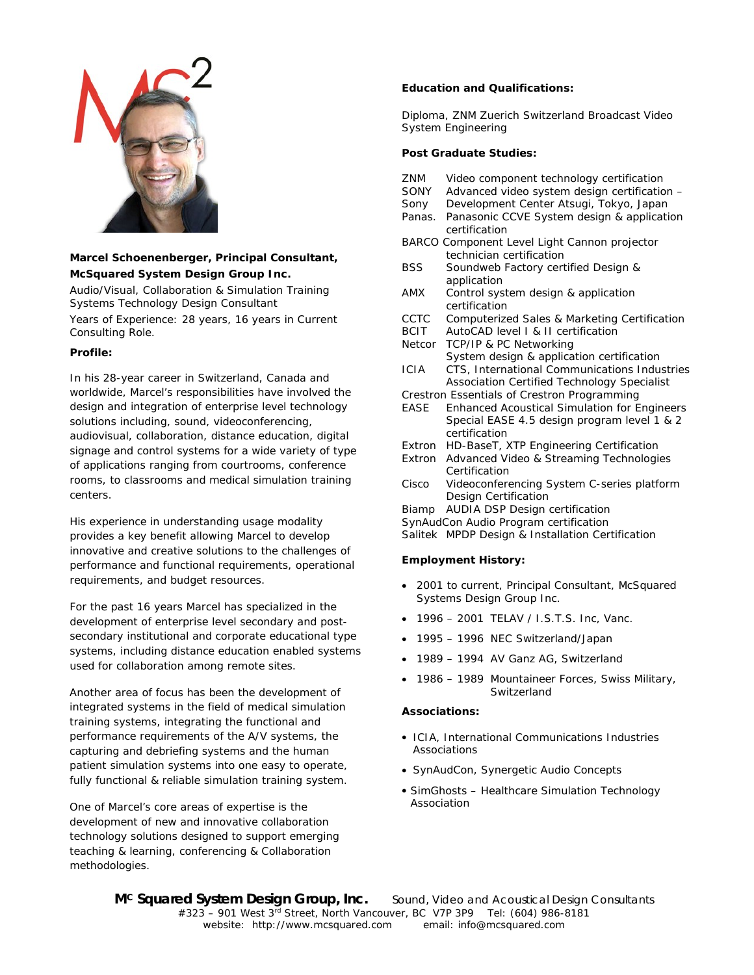

# **Marcel Schoenenberger, Principal Consultant, McSquared System Design Group Inc.**

Audio/Visual, Collaboration & Simulation Training Systems Technology Design Consultant

Years of Experience: 28 years, 16 years in Current Consulting Role.

## **Profile:**

In his 28-year career in Switzerland, Canada and worldwide, Marcel's responsibilities have involved the design and integration of enterprise level technology solutions including, sound, videoconferencing, audiovisual, collaboration, distance education, digital signage and control systems for a wide variety of type of applications ranging from courtrooms, conference rooms, to classrooms and medical simulation training centers.

His experience in understanding usage modality provides a key benefit allowing Marcel to develop innovative and creative solutions to the challenges of performance and functional requirements, operational requirements, and budget resources.

For the past 16 years Marcel has specialized in the development of enterprise level secondary and postsecondary institutional and corporate educational type systems, including distance education enabled systems used for collaboration among remote sites.

Another area of focus has been the development of integrated systems in the field of medical simulation training systems, integrating the functional and performance requirements of the A/V systems, the capturing and debriefing systems and the human patient simulation systems into one easy to operate, fully functional & reliable simulation training system.

One of Marcel's core areas of expertise is the development of new and innovative collaboration technology solutions designed to support emerging teaching & learning, conferencing & Collaboration methodologies.

## **Education and Qualifications:**

Diploma, ZNM Zuerich Switzerland Broadcast Video System Engineering

## **Post Graduate Studies:**

- ZNM Video component technology certification
- SONY Advanced video system design certification –
- Sony Development Center Atsugi, Tokyo, Japan
- Panas. Panasonic CCVE System design & application certification
- BARCO Component Level Light Cannon projector technician certification
- BSS Soundweb Factory certified Design & application
- AMX Control system design & application certification
- CCTC Computerized Sales & Marketing Certification
- BCIT AutoCAD level I & II certification
- Netcor TCP/IP & PC Networking System design & application certification
- ICIA CTS, International Communications Industries Association Certified Technology Specialist
- Crestron Essentials of Crestron Programming
- EASE Enhanced Acoustical Simulation for Engineers Special EASE 4.5 design program level 1 & 2 certification
- Extron HD-BaseT, XTP Engineering Certification
- Extron Advanced Video & Streaming Technologies Certification
- Cisco Videoconferencing System C-series platform Design Certification
- Biamp AUDIA DSP Design certification
- SynAudCon Audio Program certification

Salitek MPDP Design & Installation Certification

#### **Employment History:**

- 2001 to current, Principal Consultant, McSquared Systems Design Group Inc.
- 1996 2001 TELAV / I.S.T.S. Inc, Vanc.
- 1995 1996 NEC Switzerland/Japan
- 1989 1994 AV Ganz AG, Switzerland
- 1986 1989 Mountaineer Forces, Swiss Military, Switzerland

#### **Associations:**

- ICIA, International Communications Industries Associations
- SynAudCon, Synergetic Audio Concepts
- SimGhosts Healthcare Simulation Technology Association

**MC Squared System Design Group, Inc.** *Sound, Video and Acoustical Design Consultants*  $\#323 - 901$  West  $3^{\overline{r}d}$  Street, North Vancouver, BC V7P 3P9 Tel: (604) 986-8181 website: http://www.mcsquared.com email: info@mcsquared.com